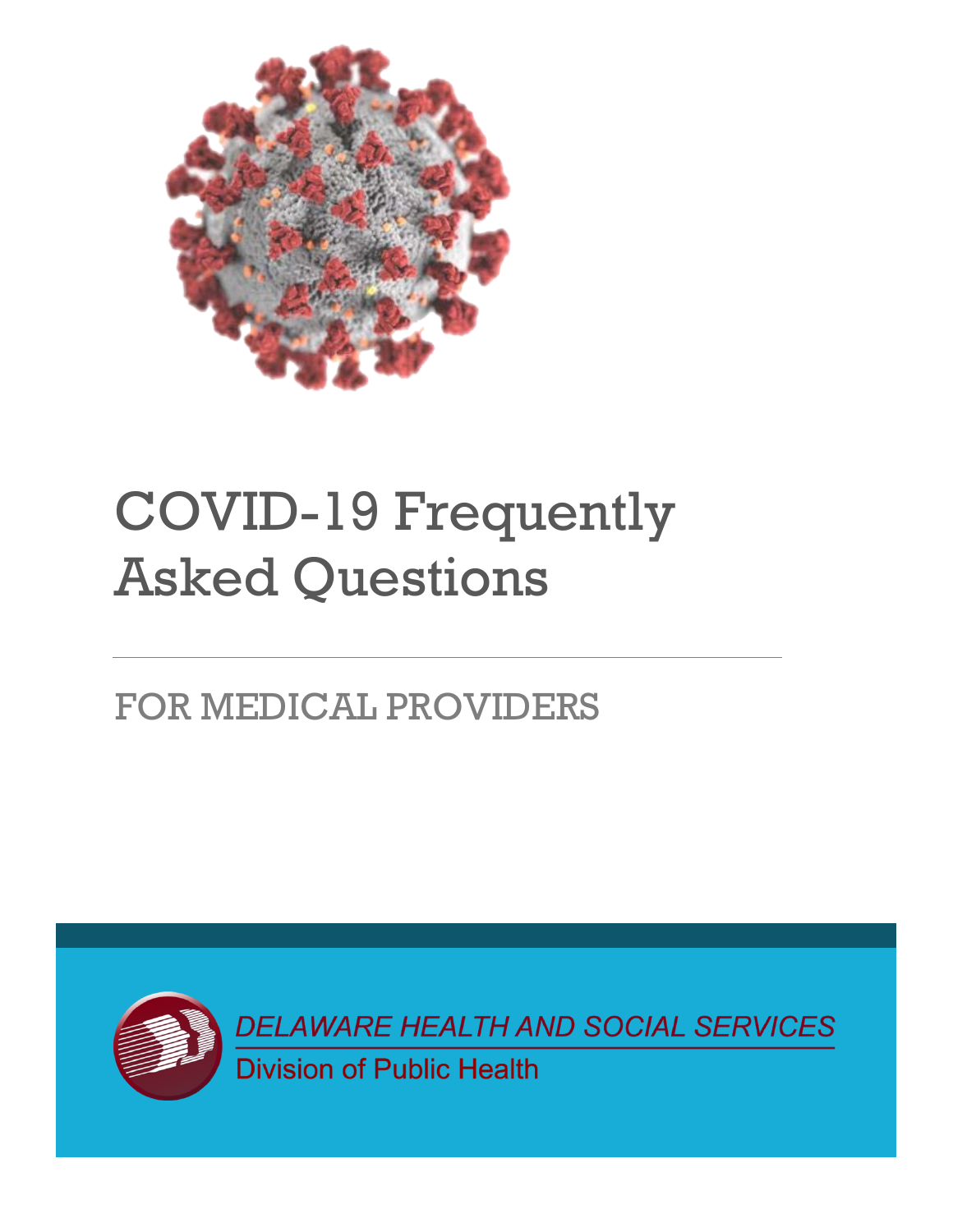

# COVID-19 Frequently Asked Questions

## FOR MEDICAL PROVIDERS



DELAWARE HEALTH AND SOCIAL SERVICES Division of Public Health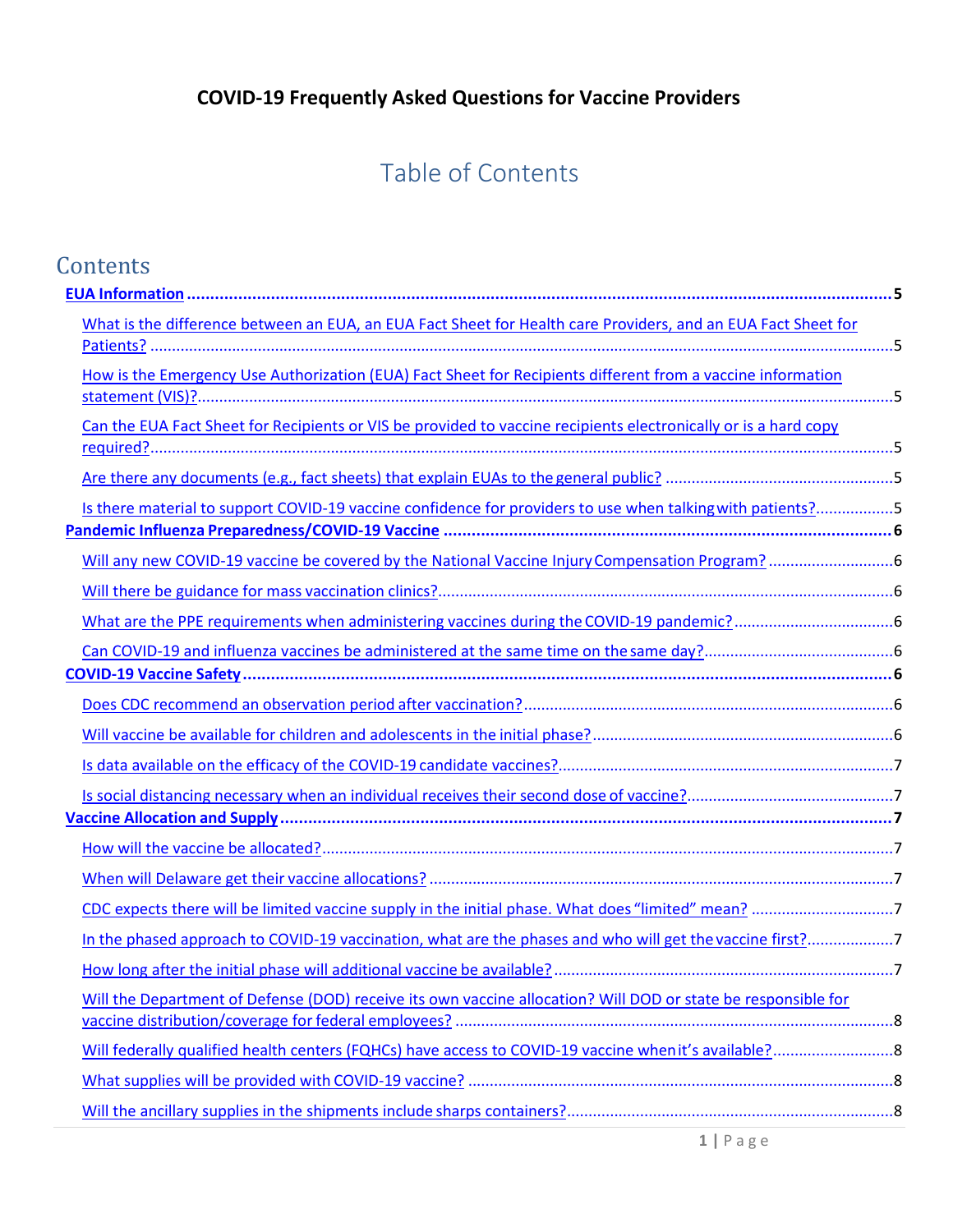## Table of Contents

| Contents                                                                                                        |  |
|-----------------------------------------------------------------------------------------------------------------|--|
|                                                                                                                 |  |
| What is the difference between an EUA, an EUA Fact Sheet for Health care Providers, and an EUA Fact Sheet for   |  |
| How is the Emergency Use Authorization (EUA) Fact Sheet for Recipients different from a vaccine information     |  |
| Can the EUA Fact Sheet for Recipients or VIS be provided to vaccine recipients electronically or is a hard copy |  |
|                                                                                                                 |  |
| Is there material to support COVID-19 vaccine confidence for providers to use when talking with patients?5      |  |
|                                                                                                                 |  |
|                                                                                                                 |  |
|                                                                                                                 |  |
|                                                                                                                 |  |
|                                                                                                                 |  |
|                                                                                                                 |  |
|                                                                                                                 |  |
|                                                                                                                 |  |
|                                                                                                                 |  |
|                                                                                                                 |  |
|                                                                                                                 |  |
|                                                                                                                 |  |
| In the phased approach to COVID-19 vaccination, what are the phases and who will get the vaccine first?7        |  |
|                                                                                                                 |  |
| Will the Department of Defense (DOD) receive its own vaccine allocation? Will DOD or state be responsible for   |  |
|                                                                                                                 |  |
|                                                                                                                 |  |
|                                                                                                                 |  |
|                                                                                                                 |  |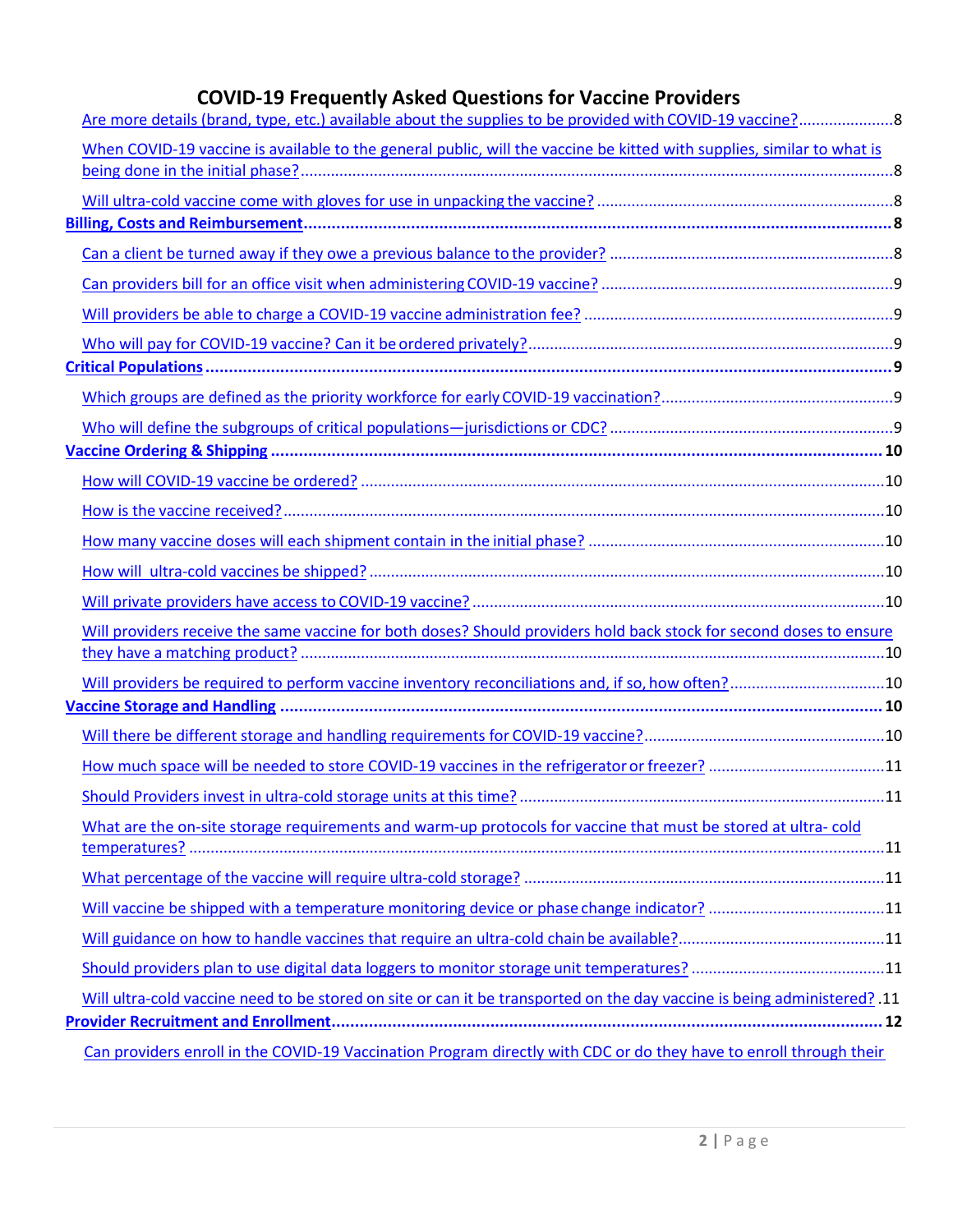| When COVID-19 vaccine is available to the general public, will the vaccine be kitted with supplies, similar to what is       |  |
|------------------------------------------------------------------------------------------------------------------------------|--|
|                                                                                                                              |  |
|                                                                                                                              |  |
|                                                                                                                              |  |
|                                                                                                                              |  |
|                                                                                                                              |  |
|                                                                                                                              |  |
|                                                                                                                              |  |
|                                                                                                                              |  |
|                                                                                                                              |  |
|                                                                                                                              |  |
|                                                                                                                              |  |
|                                                                                                                              |  |
|                                                                                                                              |  |
|                                                                                                                              |  |
|                                                                                                                              |  |
|                                                                                                                              |  |
| Will providers receive the same vaccine for both doses? Should providers hold back stock for second doses to ensure          |  |
|                                                                                                                              |  |
| Will providers be required to perform vaccine inventory reconciliations and, if so, how often?10                             |  |
|                                                                                                                              |  |
|                                                                                                                              |  |
| How much space will be needed to store COVID-19 vaccines in the refrigerator or freezer? 11                                  |  |
|                                                                                                                              |  |
| What are the on-site storage requirements and warm-up protocols for vaccine that must be stored at ultra-cold                |  |
|                                                                                                                              |  |
|                                                                                                                              |  |
| Will vaccine be shipped with a temperature monitoring device or phase change indicator? 11                                   |  |
|                                                                                                                              |  |
|                                                                                                                              |  |
| 11. Will ultra-cold vaccine need to be stored on site or can it be transported on the day vaccine is being administered? .11 |  |
|                                                                                                                              |  |
| Can providers enroll in the COVID-19 Vaccination Program directly with CDC or do they have to enroll through their           |  |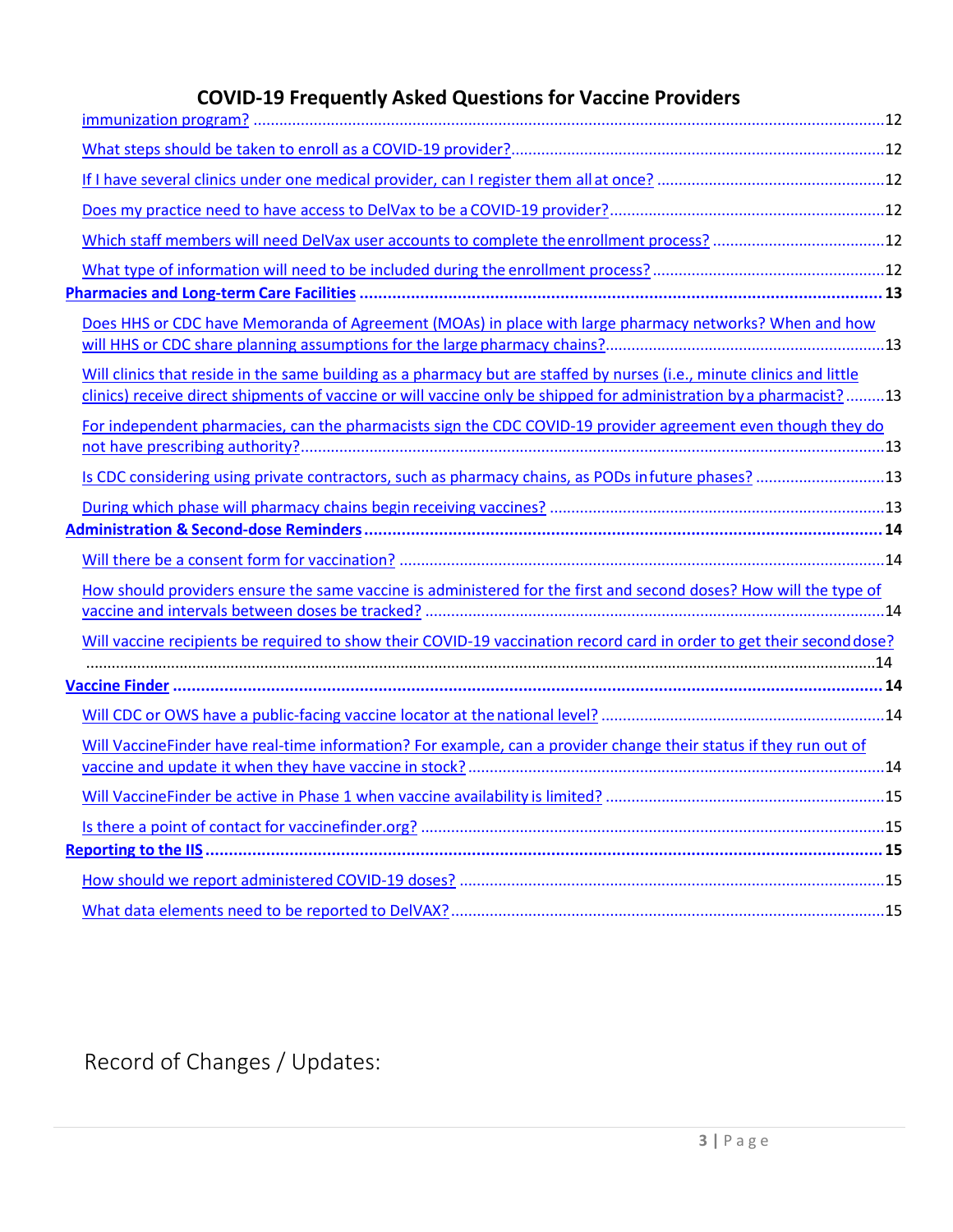| Does HHS or CDC have Memoranda of Agreement (MOAs) in place with large pharmacy networks? When and how                                                                                                                                       |  |
|----------------------------------------------------------------------------------------------------------------------------------------------------------------------------------------------------------------------------------------------|--|
| Will clinics that reside in the same building as a pharmacy but are staffed by nurses (i.e., minute clinics and little<br>clinics) receive direct shipments of vaccine or will vaccine only be shipped for administration by a pharmacist?13 |  |
| For independent pharmacies, can the pharmacists sign the CDC COVID-19 provider agreement even though they do                                                                                                                                 |  |
| Is CDC considering using private contractors, such as pharmacy chains, as PODs infuture phases? 13                                                                                                                                           |  |
|                                                                                                                                                                                                                                              |  |
|                                                                                                                                                                                                                                              |  |
|                                                                                                                                                                                                                                              |  |
| How should providers ensure the same vaccine is administered for the first and second doses? How will the type of                                                                                                                            |  |
|                                                                                                                                                                                                                                              |  |
| Will vaccine recipients be required to show their COVID-19 vaccination record card in order to get their second dose?                                                                                                                        |  |
|                                                                                                                                                                                                                                              |  |
|                                                                                                                                                                                                                                              |  |
|                                                                                                                                                                                                                                              |  |
| Will VaccineFinder have real-time information? For example, can a provider change their status if they run out of                                                                                                                            |  |
|                                                                                                                                                                                                                                              |  |
|                                                                                                                                                                                                                                              |  |
|                                                                                                                                                                                                                                              |  |
|                                                                                                                                                                                                                                              |  |
|                                                                                                                                                                                                                                              |  |
|                                                                                                                                                                                                                                              |  |

Record of Changes / Updates: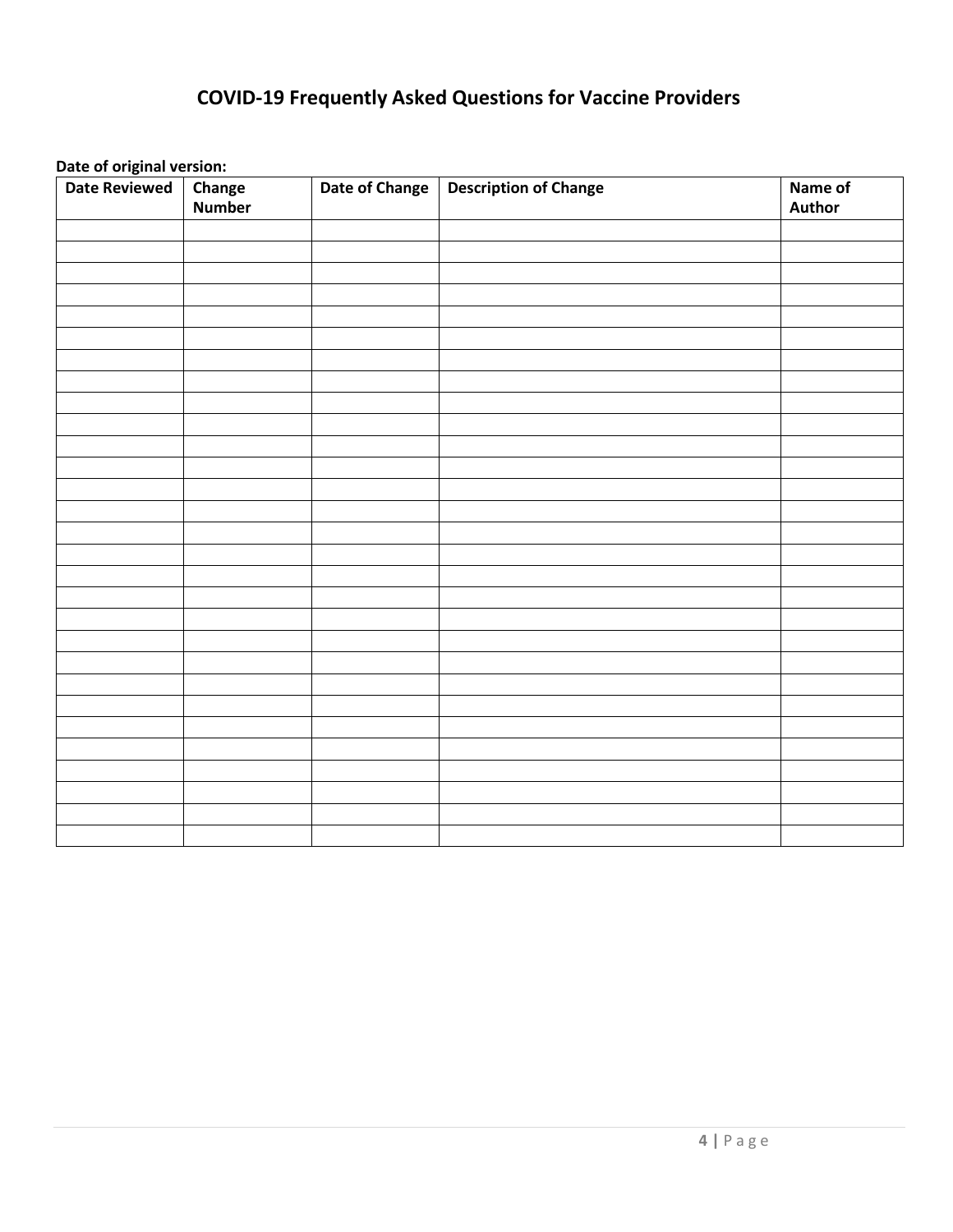**Date of original version:**

| <b>Date Reviewed</b> | <b>Change</b><br>Number | Date of Change | <b>Description of Change</b> | Name of<br><b>Author</b> |
|----------------------|-------------------------|----------------|------------------------------|--------------------------|
|                      |                         |                |                              |                          |
|                      |                         |                |                              |                          |
|                      |                         |                |                              |                          |
|                      |                         |                |                              |                          |
|                      |                         |                |                              |                          |
|                      |                         |                |                              |                          |
|                      |                         |                |                              |                          |
|                      |                         |                |                              |                          |
|                      |                         |                |                              |                          |
|                      |                         |                |                              |                          |
|                      |                         |                |                              |                          |
|                      |                         |                |                              |                          |
|                      |                         |                |                              |                          |
|                      |                         |                |                              |                          |
|                      |                         |                |                              |                          |
|                      |                         |                |                              |                          |
|                      |                         |                |                              |                          |
|                      |                         |                |                              |                          |
|                      |                         |                |                              |                          |
|                      |                         |                |                              |                          |
|                      |                         |                |                              |                          |
|                      |                         |                |                              |                          |
|                      |                         |                |                              |                          |
|                      |                         |                |                              |                          |
|                      |                         |                |                              |                          |
|                      |                         |                |                              |                          |
|                      |                         |                |                              |                          |
|                      |                         |                |                              |                          |
|                      |                         |                |                              |                          |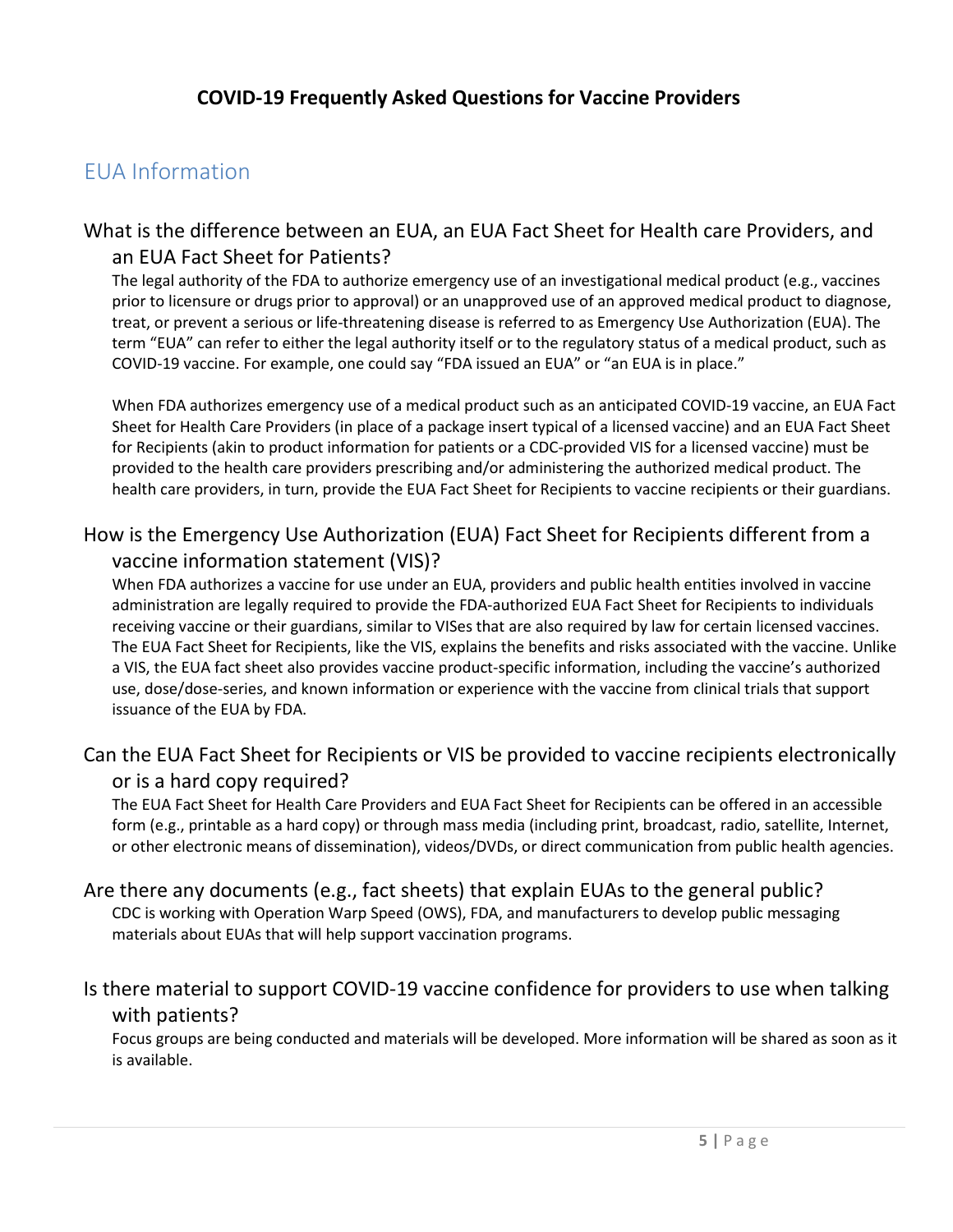## <span id="page-5-0"></span>EUA Information

#### <span id="page-5-1"></span>What is the difference between an EUA, an EUA Fact Sheet for Health care Providers, and an EUA Fact Sheet for Patients?

The legal authority of the FDA to authorize emergency use of an investigational medical product (e.g., vaccines prior to licensure or drugs prior to approval) or an unapproved use of an approved medical product to diagnose, treat, or prevent a serious or life-threatening disease is referred to as Emergency Use Authorization (EUA). The term "EUA" can refer to either the legal authority itself or to the regulatory status of a medical product, such as COVID-19 vaccine. For example, one could say "FDA issued an EUA" or "an EUA is in place."

When FDA authorizes emergency use of a medical product such as an anticipated COVID-19 vaccine, an EUA Fact Sheet for Health Care Providers (in place of a package insert typical of a licensed vaccine) and an EUA Fact Sheet for Recipients (akin to product information for patients or a CDC-provided VIS for a licensed vaccine) must be provided to the health care providers prescribing and/or administering the authorized medical product. The health care providers, in turn, provide the EUA Fact Sheet for Recipients to vaccine recipients or their guardians.

#### <span id="page-5-2"></span>How is the Emergency Use Authorization (EUA) Fact Sheet for Recipients different from a vaccine information statement (VIS)?

When FDA authorizes a vaccine for use under an EUA, providers and public health entities involved in vaccine administration are legally required to provide the FDA-authorized EUA Fact Sheet for Recipients to individuals receiving vaccine or their guardians, similar to VISes that are also required by law for certain licensed vaccines. The EUA Fact Sheet for Recipients, like the VIS, explains the benefits and risks associated with the vaccine. Unlike a VIS, the EUA fact sheet also provides vaccine product-specific information, including the vaccine's authorized use, dose/dose-series, and known information or experience with the vaccine from clinical trials that support issuance of the EUA by FDA.

#### <span id="page-5-3"></span>Can the EUA Fact Sheet for Recipients or VIS be provided to vaccine recipients electronically or is a hard copy required?

The EUA Fact Sheet for Health Care Providers and EUA Fact Sheet for Recipients can be offered in an accessible form (e.g., printable as a hard copy) or through mass media (including print, broadcast, radio, satellite, Internet, or other electronic means of dissemination), videos/DVDs, or direct communication from public health agencies.

## <span id="page-5-4"></span>Are there any documents (e.g., fact sheets) that explain EUAs to the general public?

CDC is working with Operation Warp Speed (OWS), FDA, and manufacturers to develop public messaging materials about EUAs that will help support vaccination programs.

#### <span id="page-5-5"></span>Is there material to support COVID-19 vaccine confidence for providers to use when talking with patients?

Focus groups are being conducted and materials will be developed. More information will be shared as soon as it is available.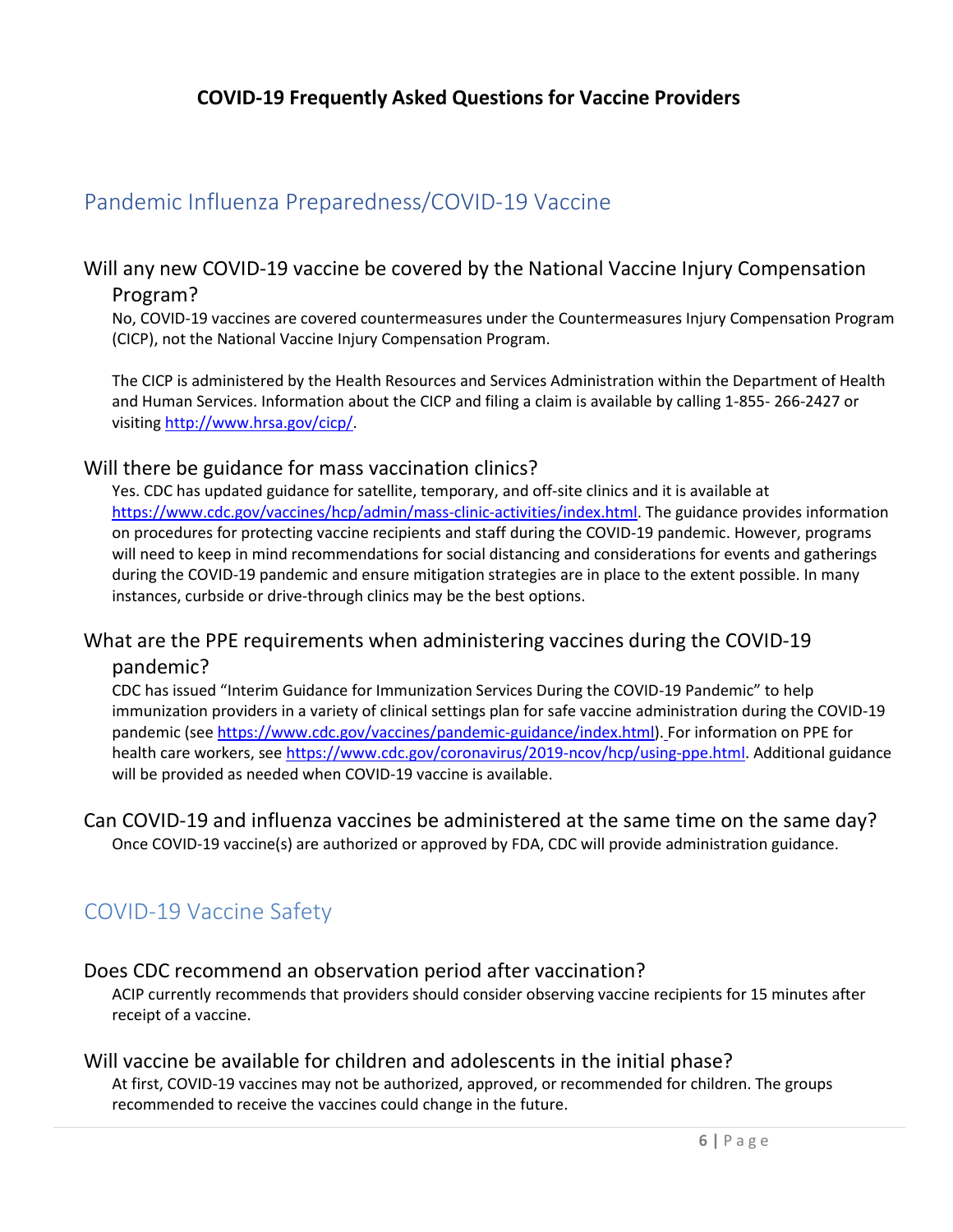## Pandemic Influenza Preparedness/COVID-19 Vaccine

#### <span id="page-6-0"></span>Will any new COVID-19 vaccine be covered by the National Vaccine Injury Compensation Program?

No, COVID-19 vaccines are covered countermeasures under the Countermeasures Injury Compensation Program (CICP), not the National Vaccine Injury Compensation Program.

The CICP is administered by the Health Resources and Services Administration within the Department of Health and Human Services. Information about the CICP and filing a claim is available by calling 1-855- 266-2427 or visiting [http://www.hrsa.gov/cicp/.](http://www.hrsa.gov/cicp/)

#### <span id="page-6-1"></span>Will there be guidance for mass vaccination clinics?

Yes. CDC has updated guidance for satellite, temporary, and off-site clinics and it is available at [https://www.cdc.gov/vaccines/hcp/admin/mass-clinic-activities/index.html. T](https://www.cdc.gov/vaccines/hcp/admin/mass-clinic-activities/index.html)he guidance provides information on procedures for protecting vaccine recipients and staff during the COVID-19 pandemic. However, programs will need to keep in mind recommendations for social distancing and considerations for events and gatherings during the COVID-19 pandemic and ensure mitigation strategies are in place to the extent possible. In many instances, curbside or drive-through clinics may be the best options.

## <span id="page-6-2"></span>What are the PPE requirements when administering vaccines during the COVID-19

#### pandemic?

CDC has issued "Interim Guidance for Immunization Services During the COVID-19 Pandemic" to help immunization providers in a variety of clinical settings plan for safe vaccine administration during the COVID-19 pandemic (se[e https://www.cdc.gov/vaccines/pandemic-guidance/index.html\)](https://www.cdc.gov/vaccines/pandemic-guidance/index.html). For information on PPE for health care workers, see https:/[/www.cdc.gov/coronavirus/2019-ncov/hcp/using-ppe.html. A](http://www.cdc.gov/coronavirus/2019-ncov/hcp/using-ppe.html)dditional guidance will be provided as needed when COVID-19 vaccine is available.

#### <span id="page-6-3"></span>Can COVID-19 and influenza vaccines be administered at the same time on the same day? Once COVID-19 vaccine(s) are authorized or approved by FDA, CDC will provide administration guidance.

### <span id="page-6-4"></span>COVID-19 Vaccine Safety

#### <span id="page-6-5"></span>Does CDC recommend an observation period after vaccination?

ACIP currently recommends that providers should consider observing vaccine recipients for 15 minutes after receipt of a vaccine.

#### <span id="page-6-6"></span>Will vaccine be available for children and adolescents in the initial phase?

At first, COVID-19 vaccines may not be authorized, approved, or recommended for children. The groups recommended to receive the vaccines could change in the future.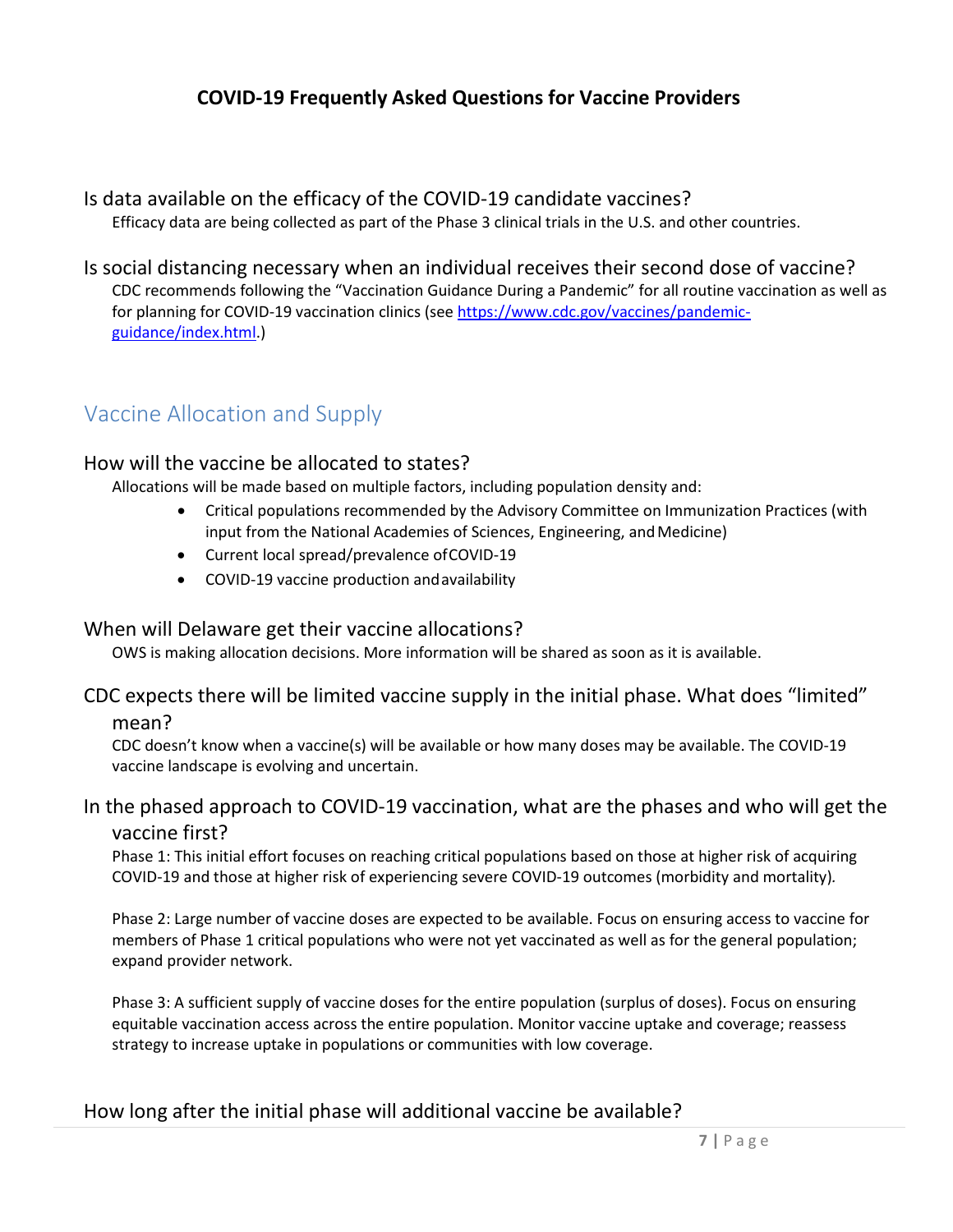#### <span id="page-7-0"></span>Is data available on the efficacy of the COVID-19 candidate vaccines?

Efficacy data are being collected as part of the Phase 3 clinical trials in the U.S. and other countries.

#### <span id="page-7-1"></span>Is social distancing necessary when an individual receives their second dose of vaccine? CDC recommends following the "Vaccination Guidance During a Pandemic" for all routine vaccination as well as for planning for COVID-19 vaccination clinics (see [https://www.cdc.gov/vaccines/pandemic](https://www.cdc.gov/vaccines/pandemic-guidance/index.html)[guidance/index.html.](https://www.cdc.gov/vaccines/pandemic-guidance/index.html))

## <span id="page-7-2"></span>Vaccine Allocation and Supply

#### <span id="page-7-3"></span>How will the vaccine be allocated to states?

Allocations will be made based on multiple factors, including population density and:

- Critical populations recommended by the Advisory Committee on Immunization Practices (with input from the National Academies of Sciences, Engineering, and Medicine)
- Current local spread/prevalence ofCOVID-19
- COVID-19 vaccine production andavailability

#### <span id="page-7-4"></span>When will Delaware get their vaccine allocations?

OWS is making allocation decisions. More information will be shared as soon as it is available.

#### <span id="page-7-5"></span>CDC expects there will be limited vaccine supply in the initial phase. What does "limited" mean?

CDC doesn't know when a vaccine(s) will be available or how many doses may be available. The COVID-19 vaccine landscape is evolving and uncertain.

#### <span id="page-7-6"></span>In the phased approach to COVID-19 vaccination, what are the phases and who will get the vaccine first?

Phase 1: This initial effort focuses on reaching critical populations based on those at higher risk of acquiring COVID-19 and those at higher risk of experiencing severe COVID-19 outcomes (morbidity and mortality)*.*

Phase 2: Large number of vaccine doses are expected to be available. Focus on ensuring access to vaccine for members of Phase 1 critical populations who were not yet vaccinated as well as for the general population; expand provider network.

Phase 3: A sufficient supply of vaccine doses for the entire population (surplus of doses). Focus on ensuring equitable vaccination access across the entire population. Monitor vaccine uptake and coverage; reassess strategy to increase uptake in populations or communities with low coverage.

#### <span id="page-7-7"></span>How long after the initial phase will additional vaccine be available?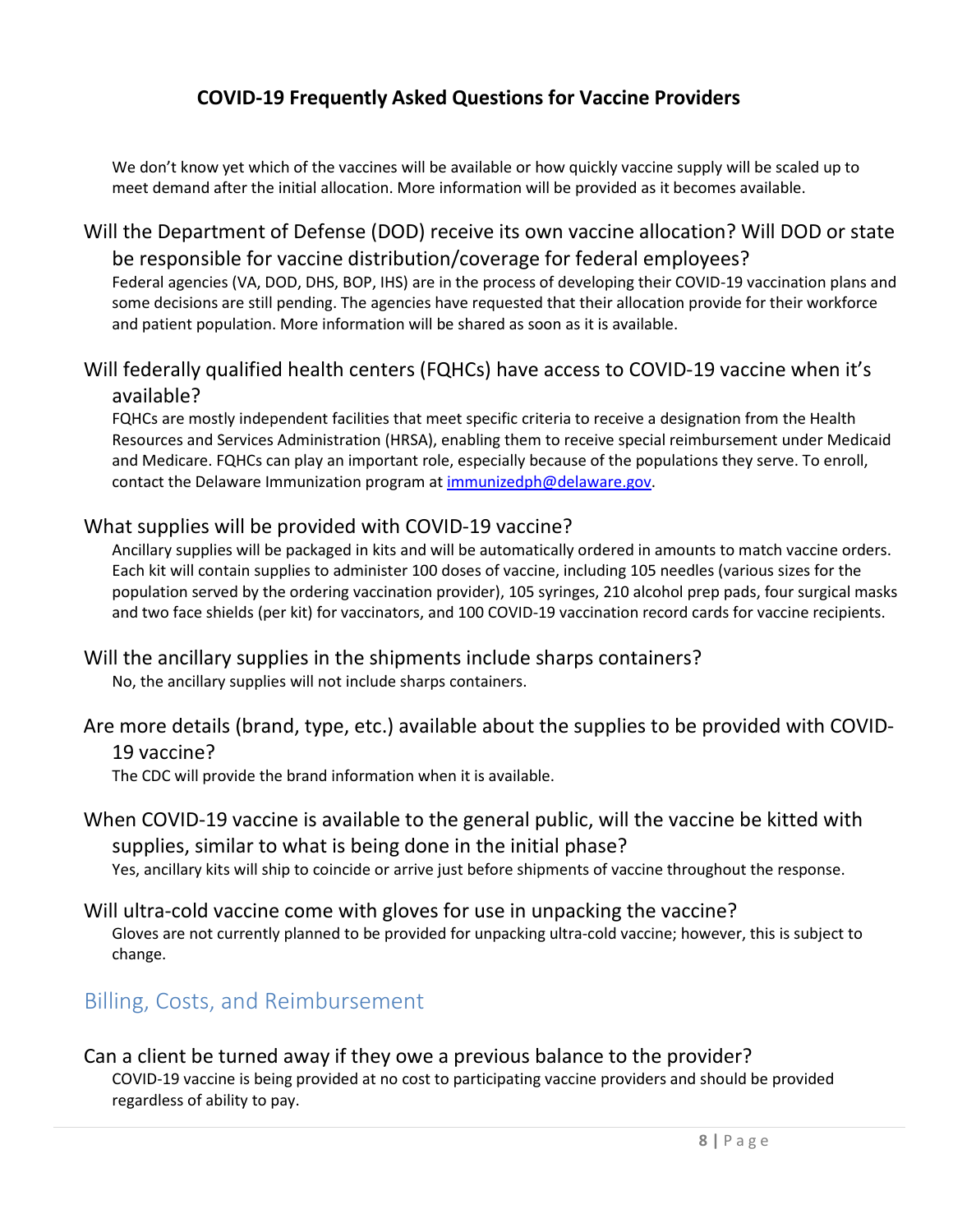We don't know yet which of the vaccines will be available or how quickly vaccine supply will be scaled up to meet demand after the initial allocation. More information will be provided as it becomes available.

#### <span id="page-8-0"></span>Will the Department of Defense (DOD) receive its own vaccine allocation? Will DOD or state be responsible for vaccine distribution/coverage for federal employees?

Federal agencies (VA, DOD, DHS, BOP, IHS) are in the process of developing their COVID-19 vaccination plans and some decisions are still pending. The agencies have requested that their allocation provide for their workforce and patient population. More information will be shared as soon as it is available.

#### <span id="page-8-1"></span>Will federally qualified health centers (FQHCs) have access to COVID-19 vaccine when it's available?

FQHCs are mostly independent facilities that meet specific criteria to receive a designation from the Health Resources and Services Administration (HRSA), enabling them to receive special reimbursement under Medicaid and Medicare. FQHCs can play an important role, especially because of the populations they serve. To enroll, contact the Delaware Immunization program at [immunizedph@delaware.gov.](mailto:immunizedph@delaware.gov)

#### <span id="page-8-2"></span>What supplies will be provided with COVID-19 vaccine?

Ancillary supplies will be packaged in kits and will be automatically ordered in amounts to match vaccine orders. Each kit will contain supplies to administer 100 doses of vaccine, including 105 needles (various sizes for the population served by the ordering vaccination provider), 105 syringes, 210 alcohol prep pads, four surgical masks and two face shields (per kit) for vaccinators, and 100 COVID-19 vaccination record cards for vaccine recipients.

#### <span id="page-8-3"></span>Will the ancillary supplies in the shipments include sharps containers?

No, the ancillary supplies will not include sharps containers.

#### <span id="page-8-4"></span>Are more details (brand, type, etc.) available about the supplies to be provided with COVID-19 vaccine?

The CDC will provide the brand information when it is available.

#### <span id="page-8-5"></span>When COVID-19 vaccine is available to the general public, will the vaccine be kitted with supplies, similar to what is being done in the initial phase? Yes, ancillary kits will ship to coincide or arrive just before shipments of vaccine throughout the response.

#### <span id="page-8-6"></span>Will ultra-cold vaccine come with gloves for use in unpacking the vaccine? Gloves are not currently planned to be provided for unpacking ultra-cold vaccine; however, this is subject to change.

### <span id="page-8-7"></span>Billing, Costs, and Reimbursement

#### <span id="page-8-8"></span>Can a client be turned away if they owe a previous balance to the provider? COVID-19 vaccine is being provided at no cost to participating vaccine providers and should be provided regardless of ability to pay.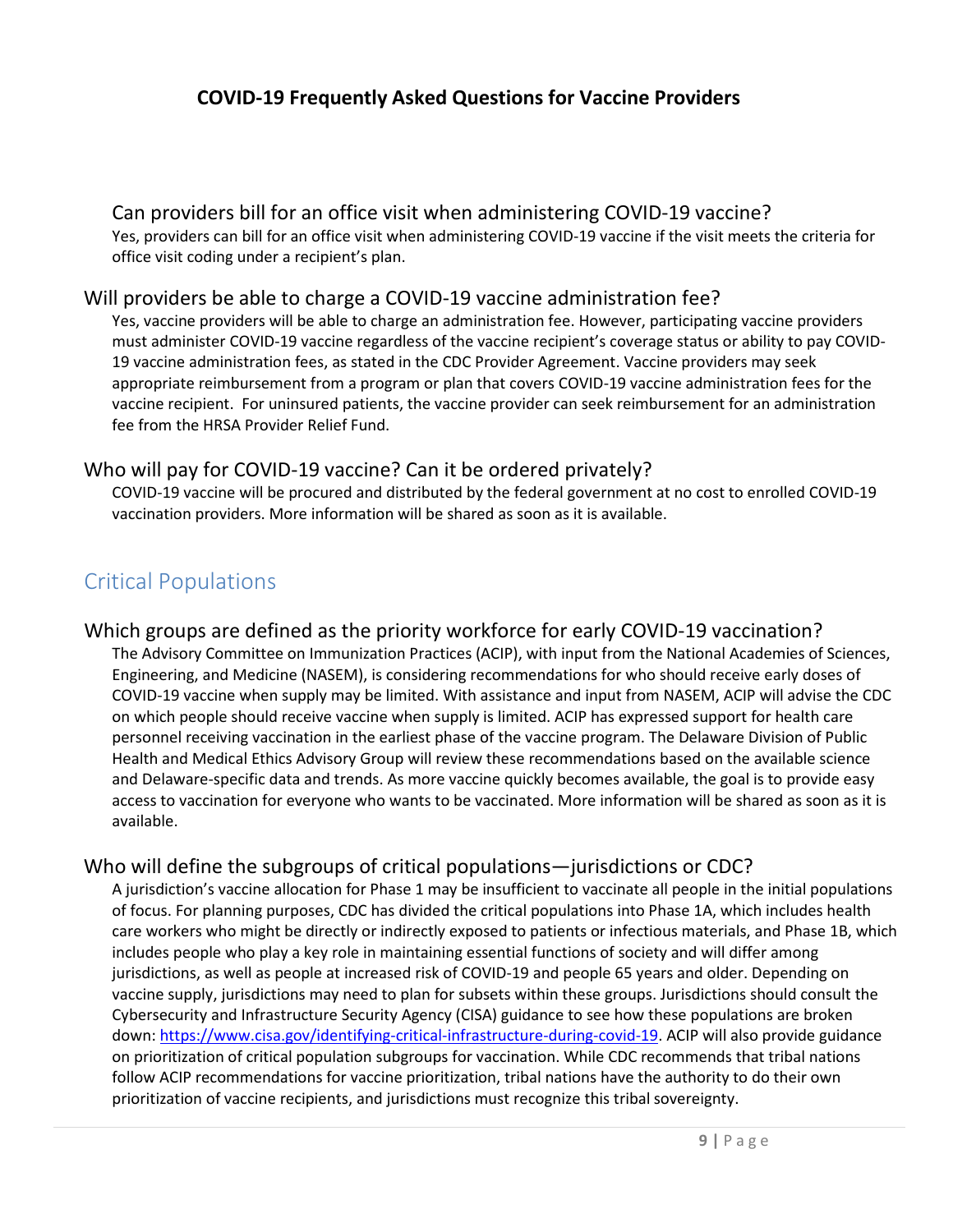#### <span id="page-9-0"></span>Can providers bill for an office visit when administering COVID-19 vaccine?

Yes, providers can bill for an office visit when administering COVID-19 vaccine if the visit meets the criteria for office visit coding under a recipient's plan.

#### <span id="page-9-1"></span>Will providers be able to charge a COVID-19 vaccine administration fee?

Yes, vaccine providers will be able to charge an administration fee. However, participating vaccine providers must administer COVID-19 vaccine regardless of the vaccine recipient's coverage status or ability to pay COVID-19 vaccine administration fees, as stated in the CDC Provider Agreement. Vaccine providers may seek appropriate reimbursement from a program or plan that covers COVID-19 vaccine administration fees for the vaccine recipient.  For uninsured patients, the vaccine provider can seek reimbursement for an administration fee from the HRSA Provider Relief Fund.

#### <span id="page-9-2"></span>Who will pay for COVID-19 vaccine? Can it be ordered privately?

COVID-19 vaccine will be procured and distributed by the federal government at no cost to enrolled COVID-19 vaccination providers. More information will be shared as soon as it is available.

## <span id="page-9-3"></span>Critical Populations

#### <span id="page-9-4"></span>Which groups are defined as the priority workforce for early COVID-19 vaccination?

The Advisory Committee on Immunization Practices (ACIP), with input from the National Academies of Sciences, Engineering, and Medicine (NASEM), is considering recommendations for who should receive early doses of COVID-19 vaccine when supply may be limited. With assistance and input from NASEM, ACIP will advise the CDC on which people should receive vaccine when supply is limited. ACIP has expressed support for health care personnel receiving vaccination in the earliest phase of the vaccine program. The Delaware Division of Public Health and Medical Ethics Advisory Group will review these recommendations based on the available science and Delaware-specific data and trends. As more vaccine quickly becomes available, the goal is to provide easy access to vaccination for everyone who wants to be vaccinated. More information will be shared as soon as it is available.

#### <span id="page-9-5"></span>Who will define the subgroups of critical populations—jurisdictions or CDC?

A jurisdiction's vaccine allocation for Phase 1 may be insufficient to vaccinate all people in the initial populations of focus. For planning purposes, CDC has divided the critical populations into Phase 1A, which includes health care workers who might be directly or indirectly exposed to patients or infectious materials, and Phase 1B, which includes people who play a key role in maintaining essential functions of society and will differ among jurisdictions, as well as people at increased risk of COVID-19 and people 65 years and older. Depending on vaccine supply, jurisdictions may need to plan for subsets within these groups. Jurisdictions should consult the Cybersecurity and Infrastructure Security Agency (CISA) guidance to see how these populations are broken down[: https://www.cisa.gov/identifying-critical-infrastructure-during-covid-19.](https://www.cisa.gov/identifying-critical-infrastructure-during-covid-19) ACIP will also provide guidance on prioritization of critical population subgroups for vaccination. While CDC recommends that tribal nations follow ACIP recommendations for vaccine prioritization, tribal nations have the authority to do their own prioritization of vaccine recipients, and jurisdictions must recognize this tribal sovereignty.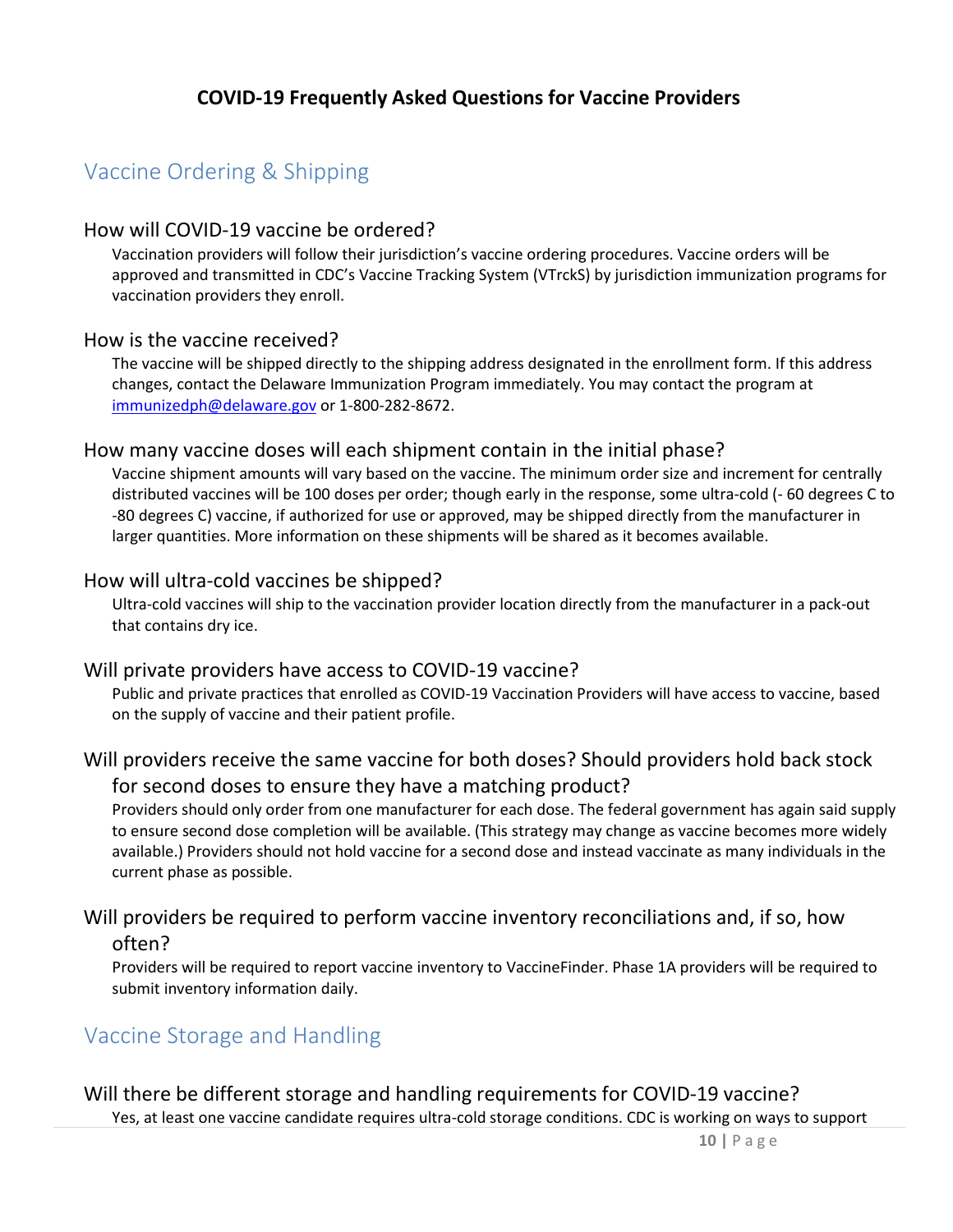## <span id="page-10-0"></span>Vaccine Ordering & Shipping

#### <span id="page-10-1"></span>How will COVID-19 vaccine be ordered?

Vaccination providers will follow their jurisdiction's vaccine ordering procedures. Vaccine orders will be approved and transmitted in CDC's Vaccine Tracking System (VTrckS) by jurisdiction immunization programs for vaccination providers they enroll.

#### <span id="page-10-2"></span>How is the vaccine received?

The vaccine will be shipped directly to the shipping address designated in the enrollment form. If this address changes, contact the Delaware Immunization Program immediately. You may contact the program at [immunizedph@delaware.gov](mailto:immunizedph@delaware.gov) or 1-800-282-8672.

#### <span id="page-10-3"></span>How many vaccine doses will each shipment contain in the initial phase?

Vaccine shipment amounts will vary based on the vaccine. The minimum order size and increment for centrally distributed vaccines will be 100 doses per order; though early in the response, some ultra-cold (- 60 degrees C to -80 degrees C) vaccine, if authorized for use or approved, may be shipped directly from the manufacturer in larger quantities. More information on these shipments will be shared as it becomes available.

#### <span id="page-10-4"></span>How will ultra-cold vaccines be shipped?

Ultra-cold vaccines will ship to the vaccination provider location directly from the manufacturer in a pack-out that contains dry ice.

#### <span id="page-10-5"></span>Will private providers have access to COVID-19 vaccine?

Public and private practices that enrolled as COVID-19 Vaccination Providers will have access to vaccine, based on the supply of vaccine and their patient profile.

#### <span id="page-10-6"></span>Will providers receive the same vaccine for both doses? Should providers hold back stock for second doses to ensure they have a matching product?

Providers should only order from one manufacturer for each dose. The federal government has again said supply to ensure second dose completion will be available. (This strategy may change as vaccine becomes more widely available.) Providers should not hold vaccine for a second dose and instead vaccinate as many individuals in the current phase as possible.

#### <span id="page-10-7"></span>Will providers be required to perform vaccine inventory reconciliations and, if so, how

#### often?

Providers will be required to report vaccine inventory to VaccineFinder. Phase 1A providers will be required to submit inventory information daily.

#### <span id="page-10-8"></span>Vaccine Storage and Handling

#### <span id="page-10-9"></span>Will there be different storage and handling requirements for COVID-19 vaccine?

Yes, at least one vaccine candidate requires ultra-cold storage conditions. CDC is working on ways to support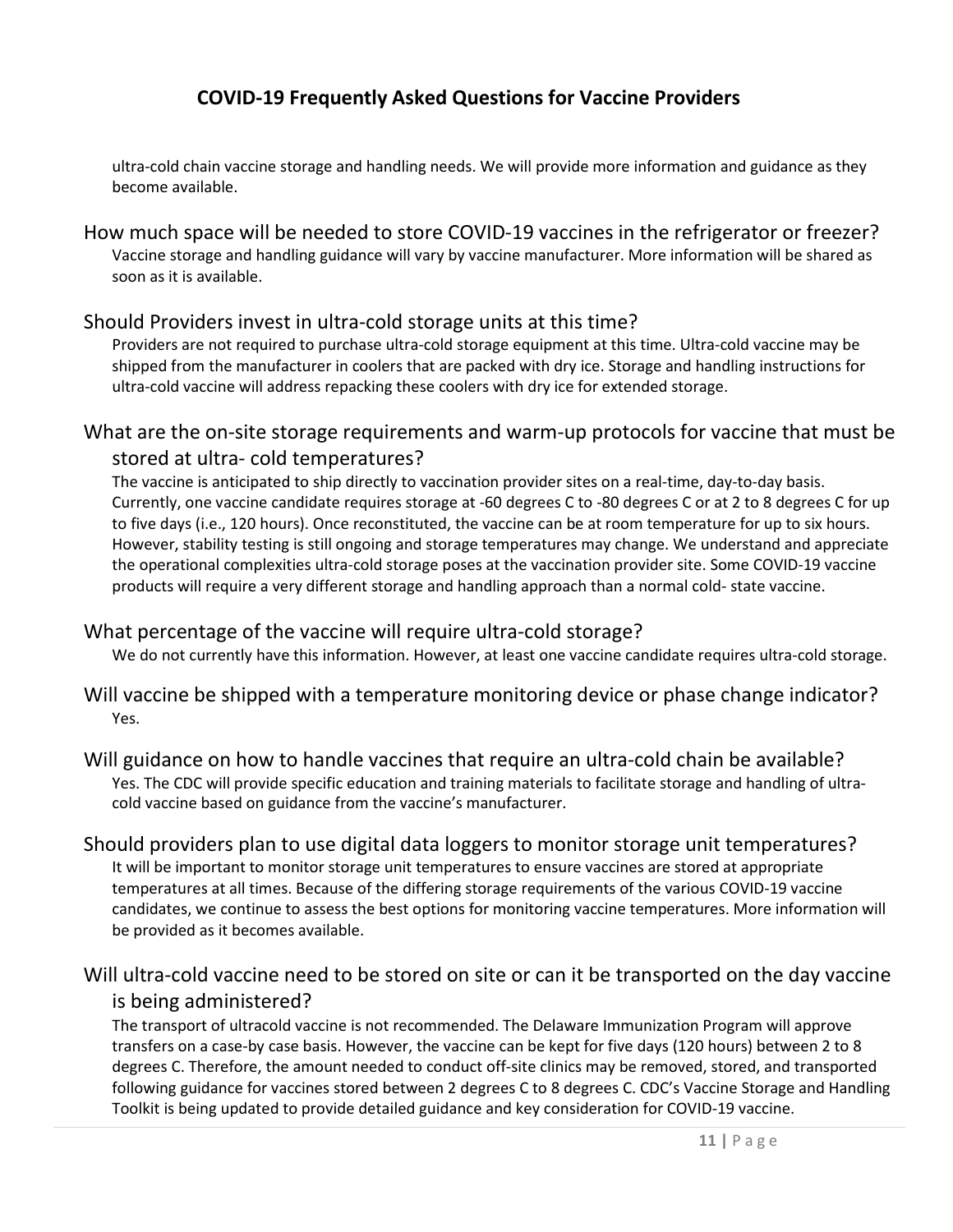ultra-cold chain vaccine storage and handling needs. We will provide more information and guidance as they become available.

<span id="page-11-0"></span>How much space will be needed to store COVID-19 vaccines in the refrigerator or freezer? Vaccine storage and handling guidance will vary by vaccine manufacturer. More information will be shared as soon as it is available.

#### <span id="page-11-1"></span>Should Providers invest in ultra-cold storage units at this time?

Providers are not required to purchase ultra-cold storage equipment at this time. Ultra-cold vaccine may be shipped from the manufacturer in coolers that are packed with dry ice. Storage and handling instructions for ultra-cold vaccine will address repacking these coolers with dry ice for extended storage.

#### <span id="page-11-2"></span>What are the on-site storage requirements and warm-up protocols for vaccine that must be stored at ultra- cold temperatures?

The vaccine is anticipated to ship directly to vaccination provider sites on a real-time, day-to-day basis. Currently, one vaccine candidate requires storage at -60 degrees C to -80 degrees C or at 2 to 8 degrees C for up to five days (i.e., 120 hours). Once reconstituted, the vaccine can be at room temperature for up to six hours. However, stability testing is still ongoing and storage temperatures may change. We understand and appreciate the operational complexities ultra-cold storage poses at the vaccination provider site. Some COVID-19 vaccine products will require a very different storage and handling approach than a normal cold- state vaccine.

#### <span id="page-11-3"></span>What percentage of the vaccine will require ultra-cold storage?

We do not currently have this information. However, at least one vaccine candidate requires ultra-cold storage.

#### <span id="page-11-4"></span>Will vaccine be shipped with a temperature monitoring device or phase change indicator? Yes.

#### <span id="page-11-5"></span>Will guidance on how to handle vaccines that require an ultra-cold chain be available? Yes. The CDC will provide specific education and training materials to facilitate storage and handling of ultracold vaccine based on guidance from the vaccine's manufacturer.

#### <span id="page-11-6"></span>Should providers plan to use digital data loggers to monitor storage unit temperatures?

It will be important to monitor storage unit temperatures to ensure vaccines are stored at appropriate temperatures at all times. Because of the differing storage requirements of the various COVID-19 vaccine candidates, we continue to assess the best options for monitoring vaccine temperatures. More information will be provided as it becomes available.

#### <span id="page-11-7"></span>Will ultra-cold vaccine need to be stored on site or can it be transported on the day vaccine is being administered?

The transport of ultracold vaccine is not recommended. The Delaware Immunization Program will approve transfers on a case-by case basis. However, the vaccine can be kept for five days (120 hours) between 2 to 8 degrees C. Therefore, the amount needed to conduct off-site clinics may be removed, stored, and transported following guidance for vaccines stored between 2 degrees C to 8 degrees C. CDC's Vaccine Storage and Handling Toolkit is being updated to provide detailed guidance and key consideration for COVID-19 vaccine.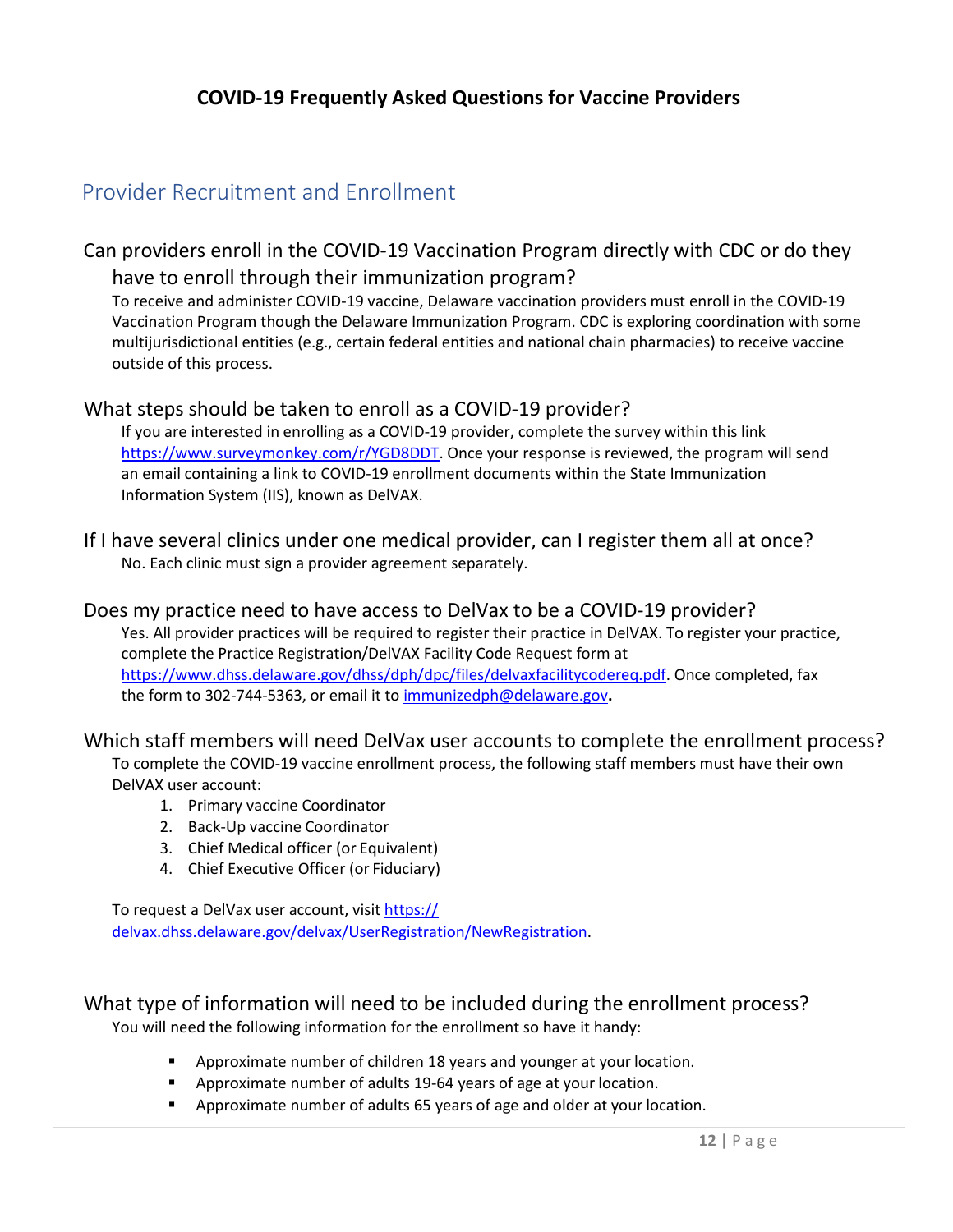## <span id="page-12-0"></span>Provider Recruitment and Enrollment

#### <span id="page-12-1"></span>Can providers enroll in the COVID-19 Vaccination Program directly with CDC or do they have to enroll through their immunization program?

To receive and administer COVID-19 vaccine, Delaware vaccination providers must enroll in the COVID-19 Vaccination Program though the Delaware Immunization Program. CDC is exploring coordination with some multijurisdictional entities (e.g., certain federal entities and national chain pharmacies) to receive vaccine outside of this process.

#### <span id="page-12-2"></span>What steps should be taken to enroll as a COVID-19 provider?

If you are interested in enrolling as a COVID-19 provider, complete the survey within this link [https://www.surveymonkey.com/r/YGD8DDT.](https://www.surveymonkey.com/r/YGD8DDT) Once your response is reviewed, the program will send an email containing a link to COVID-19 enrollment documents within the State Immunization Information System (IIS), known as DelVAX.

<span id="page-12-3"></span>If I have several clinics under one medical provider, can I register them all at once? No. Each clinic must sign a provider agreement separately.

#### <span id="page-12-4"></span>Does my practice need to have access to DelVax to be a COVID-19 provider?

Yes. All provider practices will be required to register their practice in DelVAX. To register your practice, complete the Practice Registration/DelVAX Facility Code Request form at [https://www.dhss.delaware.gov/dhss/dph/dpc/files/delvaxfacilitycodereq.pdf.](https://www.dhss.delaware.gov/dhss/dph/dpc/files/delvaxfacilitycodereq.pdf) Once completed, fax the form to 302-744-5363, or email it to [immunizedph@delaware.gov](mailto:immunizedph@delaware.gov)**.**

#### <span id="page-12-5"></span>Which staff members will need DelVax user accounts to complete the enrollment process?

To complete the COVID-19 vaccine enrollment process, the following staff members must have their own DelVAX user account:

- 1. Primary vaccine Coordinator
- 2. Back-Up vaccine Coordinator
- 3. Chief Medical officer (or Equivalent)
- 4. Chief Executive Officer (or Fiduciary)

[To request a DelVax user account, visit https://](https://delvax.dhss.delaware.gov/delvax/UserRegistration/NewRegistration) [delvax.dhss.delaware.gov/delvax/UserRegistration/NewRegistration](https://delvax.dhss.delaware.gov/delvax/UserRegistration/NewRegistration)[.](https://delvax-test.dhss.delaware.gov/delvax_test/UserRegistration/NewRegistration)

#### <span id="page-12-6"></span>What type of information will need to be included during the enrollment process? You will need the following information for the enrollment so have it handy:

- **E** Approximate number of children 18 years and younger at your location.
- Approximate number of adults 19-64 years of age at your location.
- Approximate number of adults 65 years of age and older at your location.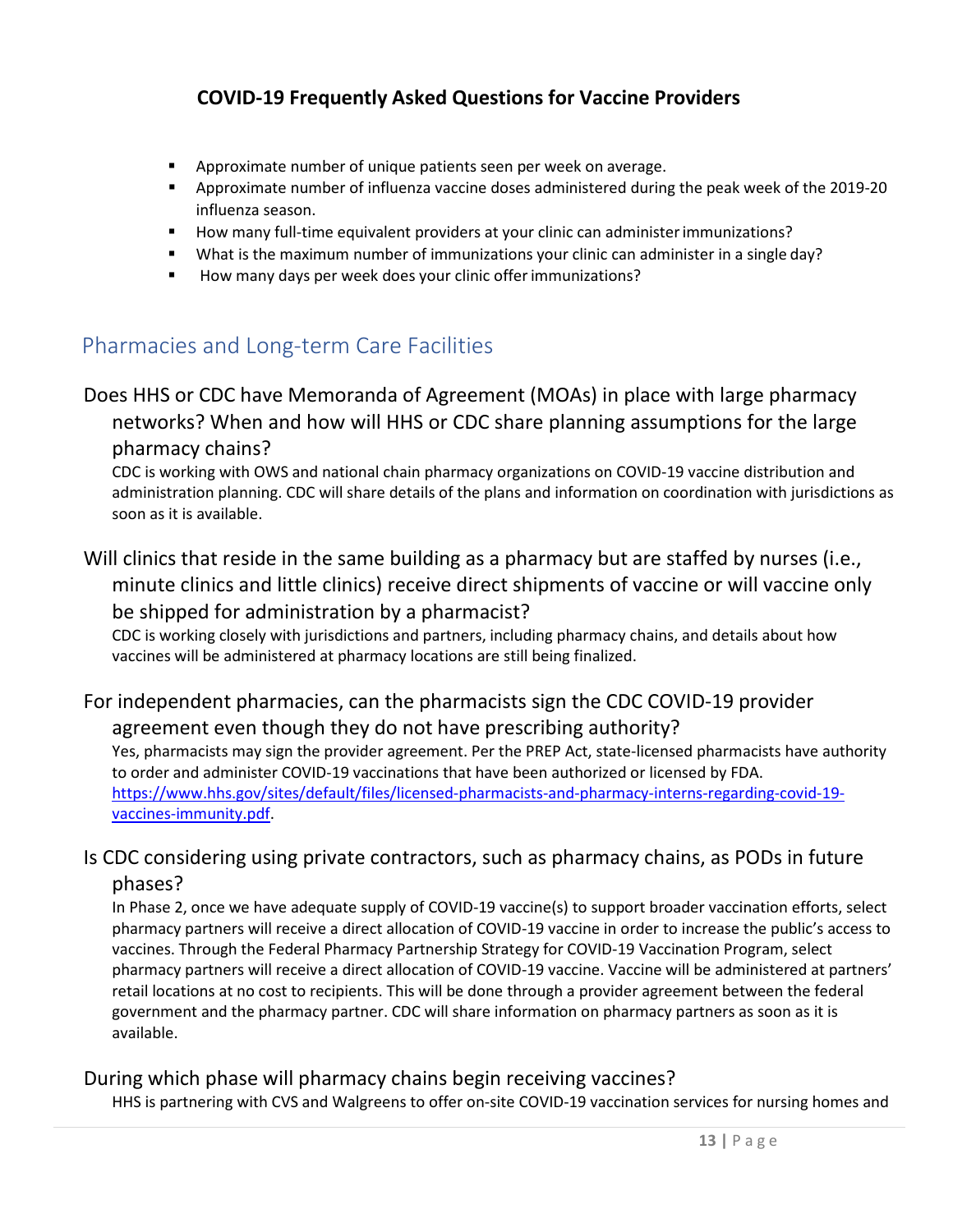- **EXTER** Approximate number of unique patients seen per week on average.
- **Approximate number of influenza vaccine doses administered during the peak week of the 2019-20** influenza season.
- **How many full-time equivalent providers at your clinic can administer immunizations?**
- What is the maximum number of immunizations your clinic can administer in a single day?
- **How many days per week does your clinic offer immunizations?**

### <span id="page-13-1"></span><span id="page-13-0"></span>Pharmacies and Long-term Care Facilities

#### Does HHS or CDC have Memoranda of Agreement (MOAs) in place with large pharmacy networks? When and how will HHS or CDC share planning assumptions for the large pharmacy chains?

CDC is working with OWS and national chain pharmacy organizations on COVID-19 vaccine distribution and administration planning. CDC will share details of the plans and information on coordination with jurisdictions as soon as it is available.

#### <span id="page-13-2"></span>Will clinics that reside in the same building as a pharmacy but are staffed by nurses (i.e., minute clinics and little clinics) receive direct shipments of vaccine or will vaccine only be shipped for administration by a pharmacist?

CDC is working closely with jurisdictions and partners, including pharmacy chains, and details about how vaccines will be administered at pharmacy locations are still being finalized.

#### <span id="page-13-3"></span>For independent pharmacies, can the pharmacists sign the CDC COVID-19 provider agreement even though they do not have prescribing authority?

Yes, pharmacists may sign the provider agreement. Per the PREP Act, state-licensed pharmacists have authority to order and administer COVID-19 vaccinations that have been authorized or licensed by FDA. [https://www.hhs.gov/sites/default/files/licensed-pharmacists-and-pharmacy-interns-regarding-covid-19](https://www.hhs.gov/sites/default/files/licensed-pharmacists-and-pharmacy-interns-regarding-covid-19-vaccines-immunity.pdf) [vaccines-immunity.pdf.](https://www.hhs.gov/sites/default/files/licensed-pharmacists-and-pharmacy-interns-regarding-covid-19-vaccines-immunity.pdf)

#### <span id="page-13-4"></span>Is CDC considering using private contractors, such as pharmacy chains, as PODs in future phases?

In Phase 2, once we have adequate supply of COVID-19 vaccine(s) to support broader vaccination efforts, select pharmacy partners will receive a direct allocation of COVID-19 vaccine in order to increase the public's access to vaccines. Through the Federal Pharmacy Partnership Strategy for COVID-19 Vaccination Program, select pharmacy partners will receive a direct allocation of COVID-19 vaccine. Vaccine will be administered at partners' retail locations at no cost to recipients. This will be done through a provider agreement between the federal government and the pharmacy partner. CDC will share information on pharmacy partners as soon as it is available.

#### <span id="page-13-5"></span>During which phase will pharmacy chains begin receiving vaccines?

HHS is partnering with CVS and Walgreens to offer on-site COVID-19 vaccination services for nursing homes and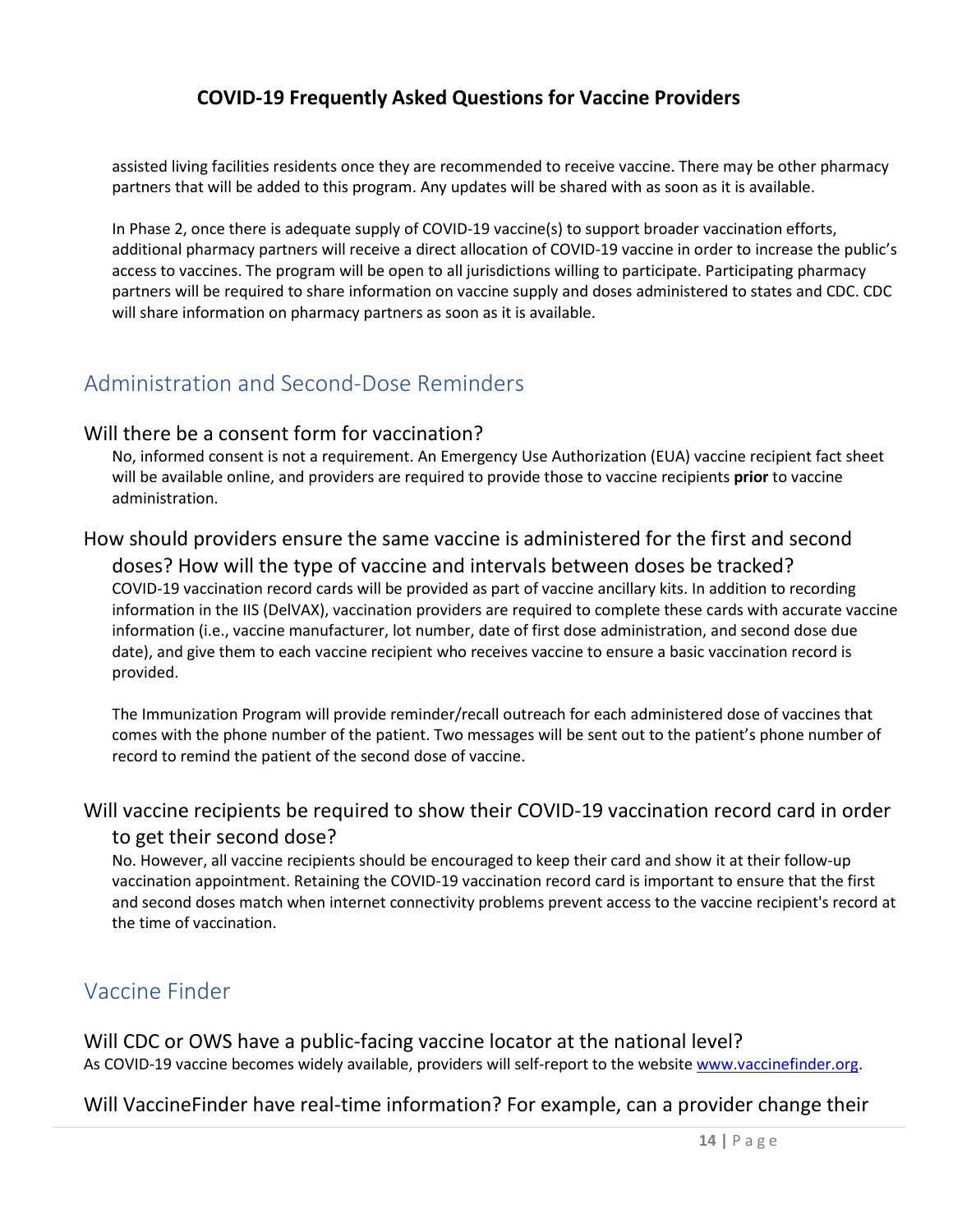assisted living facilities residents once they are recommended to receive vaccine. There may be other pharmacy partners that will be added to this program. Any updates will be shared with as soon as it is available.

In Phase 2, once there is adequate supply of COVID-19 vaccine(s) to support broader vaccination efforts, additional pharmacy partners will receive a direct allocation of COVID-19 vaccine in order to increase the public's access to vaccines. The program will be open to all jurisdictions willing to participate. Participating pharmacy partners will be required to share information on vaccine supply and doses administered to states and CDC. CDC will share information on pharmacy partners as soon as it is available.

### <span id="page-14-1"></span><span id="page-14-0"></span>Administration and Second-Dose Reminders

#### Will there be a consent form for vaccination?

No, informed consent is not a requirement. An Emergency Use Authorization (EUA) vaccine recipient fact sheet will be available online, and providers are required to provide those to vaccine recipients **prior** to vaccine administration.

#### <span id="page-14-2"></span>How should providers ensure the same vaccine is administered for the first and second doses? How will the type of vaccine and intervals between doses be tracked? COVID-19 vaccination record cards will be provided as part of vaccine ancillary kits. In addition to recording information in the IIS (DelVAX), vaccination providers are required to complete these cards with accurate vaccine information (i.e., vaccine manufacturer, lot number, date of first dose administration, and second dose due date), and give them to each vaccine recipient who receives vaccine to ensure a basic vaccination record is provided.

The Immunization Program will provide reminder/recall outreach for each administered dose of vaccines that comes with the phone number of the patient. Two messages will be sent out to the patient's phone number of record to remind the patient of the second dose of vaccine.

## <span id="page-14-3"></span>Will vaccine recipients be required to show their COVID-19 vaccination record card in order

#### to get their second dose?

No. However, all vaccine recipients should be encouraged to keep their card and show it at their follow-up vaccination appointment. Retaining the COVID-19 vaccination record card is important to ensure that the first and second doses match when internet connectivity problems prevent access to the vaccine recipient's record at the time of vaccination.

#### <span id="page-14-4"></span>Vaccine Finder

<span id="page-14-5"></span>Will CDC or OWS have a public-facing vaccine locator at the national level? As COVID-19 vaccine becomes widely available, providers will self-report to the websit[e www.vaccinefinder.org.](http://www.vaccinefinder.org/)

#### <span id="page-14-6"></span>Will VaccineFinder have real-time information? For example, can a provider change their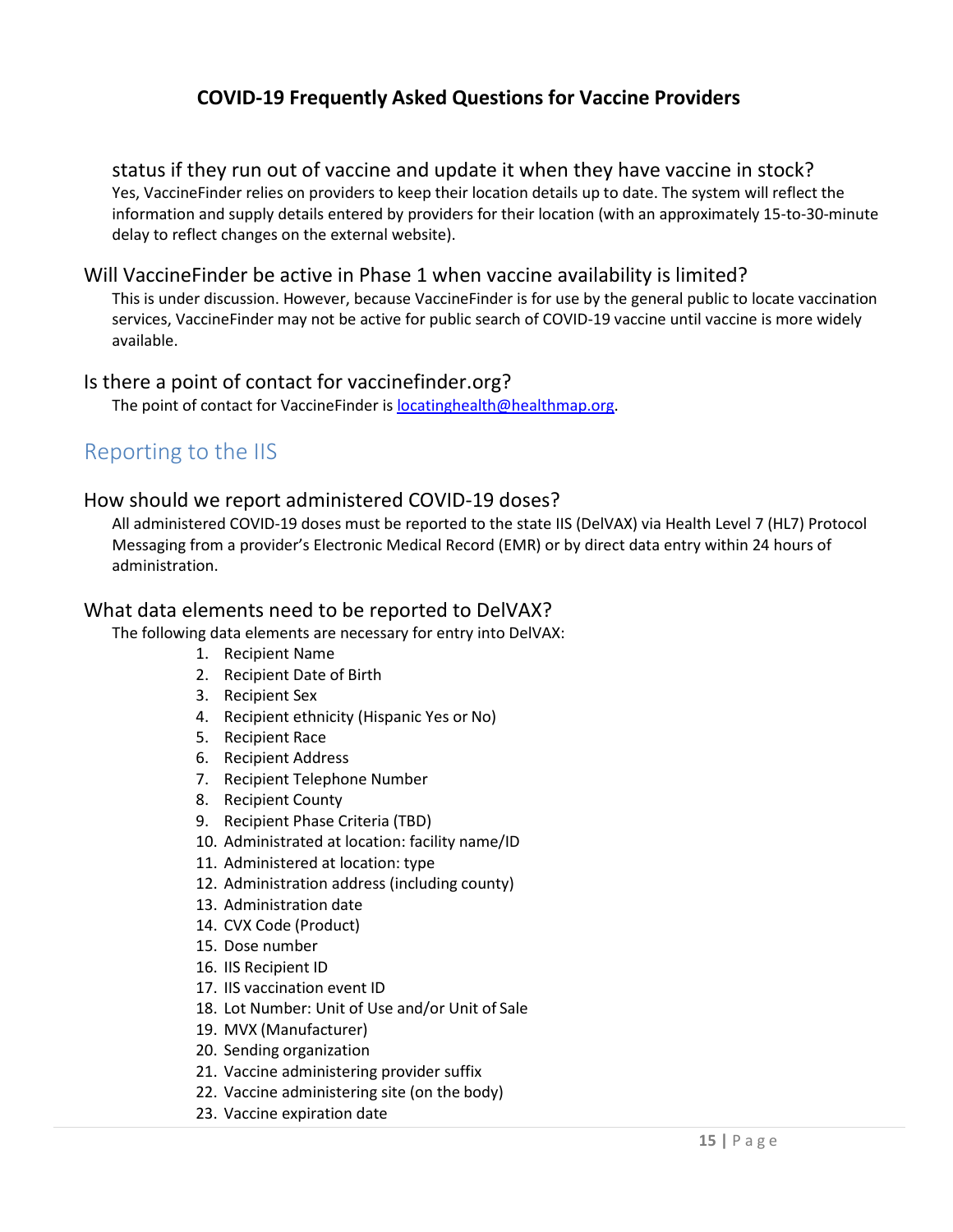status if they run out of vaccine and update it when they have vaccine in stock? Yes, VaccineFinder relies on providers to keep their location details up to date. The system will reflect the information and supply details entered by providers for their location (with an approximately 15-to-30-minute delay to reflect changes on the external website).

#### <span id="page-15-0"></span>Will VaccineFinder be active in Phase 1 when vaccine availability is limited?

This is under discussion. However, because VaccineFinder is for use by the general public to locate vaccination services, VaccineFinder may not be active for public search of COVID-19 vaccine until vaccine is more widely available.

#### <span id="page-15-1"></span>Is there a point of contact for vaccinefinder.org?

The point of contact for VaccineFinder is **locatinghealth@healthmap.org**.

## <span id="page-15-2"></span>Reporting to the IIS

#### <span id="page-15-3"></span>How should we report administered COVID-19 doses?

All administered COVID-19 doses must be reported to the state IIS (DelVAX) via Health Level 7 (HL7) Protocol Messaging from a provider's Electronic Medical Record (EMR) or by direct data entry within 24 hours of administration.

#### <span id="page-15-4"></span>What data elements need to be reported to DelVAX?

The following data elements are necessary for entry into DelVAX:

- 1. Recipient Name
- 2. Recipient Date of Birth
- 3. Recipient Sex
- 4. Recipient ethnicity (Hispanic Yes or No)
- 5. Recipient Race
- 6. Recipient Address
- 7. Recipient Telephone Number
- 8. Recipient County
- 9. Recipient Phase Criteria (TBD)
- 10. Administrated at location: facility name/ID
- 11. Administered at location: type
- 12. Administration address (including county)
- 13. Administration date
- 14. CVX Code (Product)
- 15. Dose number
- 16. IIS Recipient ID
- 17. IIS vaccination event ID
- 18. Lot Number: Unit of Use and/or Unit of Sale
- 19. MVX (Manufacturer)
- 20. Sending organization
- 21. Vaccine administering provider suffix
- 22. Vaccine administering site (on the body)
- 23. Vaccine expiration date